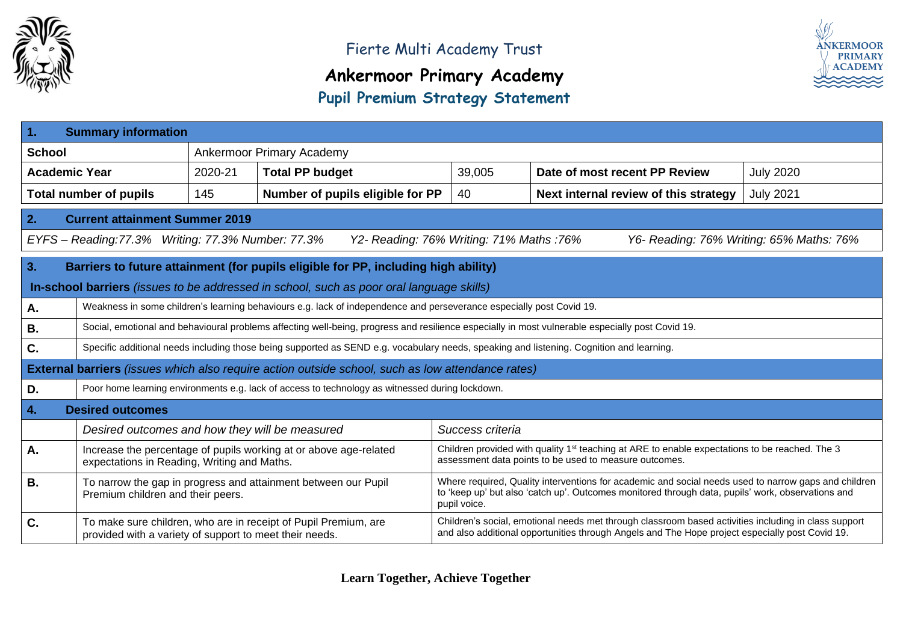

# **Ankermoor Primary Academy**



# **Pupil Premium Strategy Statement**

| l 1.<br><b>Summary information</b>                        |                                                                                                                                                                                                                                                                                                                                       |         |                                                                                                                                          |                                          |                                       |                                          |  |  |  |  |  |  |
|-----------------------------------------------------------|---------------------------------------------------------------------------------------------------------------------------------------------------------------------------------------------------------------------------------------------------------------------------------------------------------------------------------------|---------|------------------------------------------------------------------------------------------------------------------------------------------|------------------------------------------|---------------------------------------|------------------------------------------|--|--|--|--|--|--|
| <b>School</b>                                             |                                                                                                                                                                                                                                                                                                                                       |         | <b>Ankermoor Primary Academy</b>                                                                                                         |                                          |                                       |                                          |  |  |  |  |  |  |
| <b>Academic Year</b>                                      |                                                                                                                                                                                                                                                                                                                                       | 2020-21 | <b>Total PP budget</b>                                                                                                                   | 39,005                                   | Date of most recent PP Review         | <b>July 2020</b>                         |  |  |  |  |  |  |
|                                                           | <b>Total number of pupils</b>                                                                                                                                                                                                                                                                                                         | 145     | Number of pupils eligible for PP                                                                                                         | 40                                       | Next internal review of this strategy | <b>July 2021</b>                         |  |  |  |  |  |  |
| $\overline{2}$ .<br><b>Current attainment Summer 2019</b> |                                                                                                                                                                                                                                                                                                                                       |         |                                                                                                                                          |                                          |                                       |                                          |  |  |  |  |  |  |
|                                                           | EYFS - Reading: 77.3% Writing: 77.3% Number: 77.3%                                                                                                                                                                                                                                                                                    |         |                                                                                                                                          | Y2- Reading: 76% Writing: 71% Maths: 76% |                                       | Y6- Reading: 76% Writing: 65% Maths: 76% |  |  |  |  |  |  |
| 3.                                                        | Barriers to future attainment (for pupils eligible for PP, including high ability)                                                                                                                                                                                                                                                    |         |                                                                                                                                          |                                          |                                       |                                          |  |  |  |  |  |  |
|                                                           |                                                                                                                                                                                                                                                                                                                                       |         | In-school barriers <i>(issues to be addressed in school, such as poor oral language skills)</i>                                          |                                          |                                       |                                          |  |  |  |  |  |  |
| A.                                                        |                                                                                                                                                                                                                                                                                                                                       |         | Weakness in some children's learning behaviours e.g. lack of independence and perseverance especially post Covid 19.                     |                                          |                                       |                                          |  |  |  |  |  |  |
| <b>B.</b>                                                 | Social, emotional and behavioural problems affecting well-being, progress and resilience especially in most vulnerable especially post Covid 19.                                                                                                                                                                                      |         |                                                                                                                                          |                                          |                                       |                                          |  |  |  |  |  |  |
| C.                                                        |                                                                                                                                                                                                                                                                                                                                       |         | Specific additional needs including those being supported as SEND e.g. vocabulary needs, speaking and listening. Cognition and learning. |                                          |                                       |                                          |  |  |  |  |  |  |
|                                                           |                                                                                                                                                                                                                                                                                                                                       |         | <b>External barriers</b> (issues which also require action outside school, such as low attendance rates)                                 |                                          |                                       |                                          |  |  |  |  |  |  |
| D.                                                        |                                                                                                                                                                                                                                                                                                                                       |         | Poor home learning environments e.g. lack of access to technology as witnessed during lockdown.                                          |                                          |                                       |                                          |  |  |  |  |  |  |
| 4.                                                        | <b>Desired outcomes</b>                                                                                                                                                                                                                                                                                                               |         |                                                                                                                                          |                                          |                                       |                                          |  |  |  |  |  |  |
|                                                           | Desired outcomes and how they will be measured<br>Success criteria                                                                                                                                                                                                                                                                    |         |                                                                                                                                          |                                          |                                       |                                          |  |  |  |  |  |  |
| A.                                                        | Children provided with quality 1 <sup>st</sup> teaching at ARE to enable expectations to be reached. The 3<br>Increase the percentage of pupils working at or above age-related<br>assessment data points to be used to measure outcomes.<br>expectations in Reading, Writing and Maths.                                              |         |                                                                                                                                          |                                          |                                       |                                          |  |  |  |  |  |  |
| <b>B.</b>                                                 | Where required, Quality interventions for academic and social needs used to narrow gaps and children<br>To narrow the gap in progress and attainment between our Pupil<br>to 'keep up' but also 'catch up'. Outcomes monitored through data, pupils' work, observations and<br>Premium children and their peers.<br>pupil voice.      |         |                                                                                                                                          |                                          |                                       |                                          |  |  |  |  |  |  |
| C.                                                        | Children's social, emotional needs met through classroom based activities including in class support<br>To make sure children, who are in receipt of Pupil Premium, are<br>and also additional opportunities through Angels and The Hope project especially post Covid 19.<br>provided with a variety of support to meet their needs. |         |                                                                                                                                          |                                          |                                       |                                          |  |  |  |  |  |  |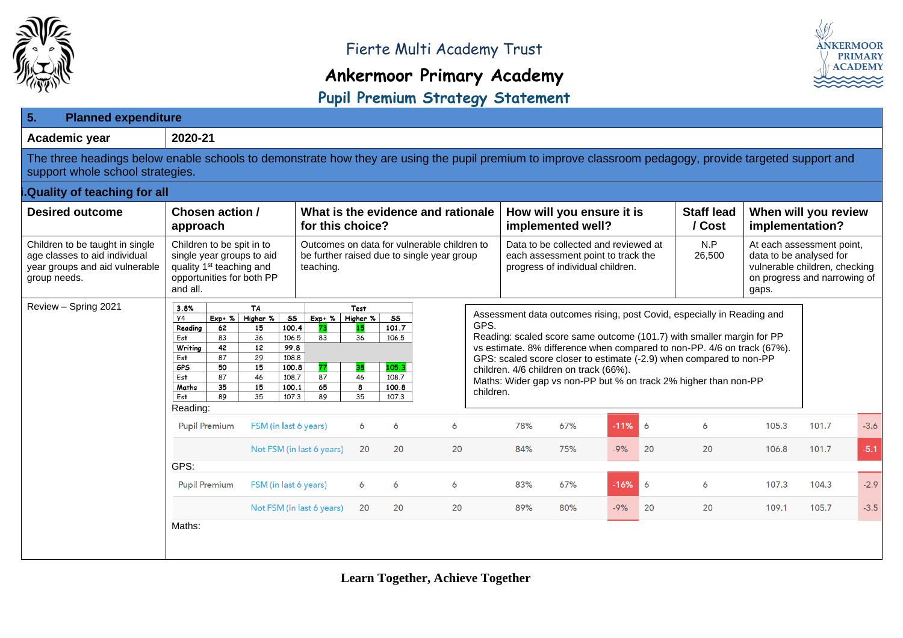

# **Ankermoor Primary Academy**



#### **Pupil Premium Strategy Statement**

| 5.<br><b>Planned expenditure</b>                                                                                                                                                            |                                                                                                                                                                                                                                                                                                                                                                                                                                                                                                                                                                                                                                                                                                                                                                                                                                                                                                                                                                        |                                 |                                                                                           |                                                |                                                                                                                |     |        |                             |                                         |                                                                                                                                |       |        |
|---------------------------------------------------------------------------------------------------------------------------------------------------------------------------------------------|------------------------------------------------------------------------------------------------------------------------------------------------------------------------------------------------------------------------------------------------------------------------------------------------------------------------------------------------------------------------------------------------------------------------------------------------------------------------------------------------------------------------------------------------------------------------------------------------------------------------------------------------------------------------------------------------------------------------------------------------------------------------------------------------------------------------------------------------------------------------------------------------------------------------------------------------------------------------|---------------------------------|-------------------------------------------------------------------------------------------|------------------------------------------------|----------------------------------------------------------------------------------------------------------------|-----|--------|-----------------------------|-----------------------------------------|--------------------------------------------------------------------------------------------------------------------------------|-------|--------|
| Academic year                                                                                                                                                                               | 2020-21                                                                                                                                                                                                                                                                                                                                                                                                                                                                                                                                                                                                                                                                                                                                                                                                                                                                                                                                                                |                                 |                                                                                           |                                                |                                                                                                                |     |        |                             |                                         |                                                                                                                                |       |        |
| The three headings below enable schools to demonstrate how they are using the pupil premium to improve classroom pedagogy, provide targeted support and<br>support whole school strategies. |                                                                                                                                                                                                                                                                                                                                                                                                                                                                                                                                                                                                                                                                                                                                                                                                                                                                                                                                                                        |                                 |                                                                                           |                                                |                                                                                                                |     |        |                             |                                         |                                                                                                                                |       |        |
| <b>Quality of teaching for all</b>                                                                                                                                                          |                                                                                                                                                                                                                                                                                                                                                                                                                                                                                                                                                                                                                                                                                                                                                                                                                                                                                                                                                                        |                                 |                                                                                           |                                                |                                                                                                                |     |        |                             |                                         |                                                                                                                                |       |        |
| <b>Desired outcome</b>                                                                                                                                                                      | Chosen action /<br>approach                                                                                                                                                                                                                                                                                                                                                                                                                                                                                                                                                                                                                                                                                                                                                                                                                                                                                                                                            | for this choice?                | What is the evidence and rationale                                                        | How will you ensure it is<br>implemented well? |                                                                                                                |     |        | <b>Staff lead</b><br>/ Cost | When will you review<br>implementation? |                                                                                                                                |       |        |
| Children to be taught in single<br>age classes to aid individual<br>year groups and aid vulnerable<br>group needs.                                                                          | Children to be spit in to<br>single year groups to aid<br>quality 1 <sup>st</sup> teaching and<br>opportunities for both PP<br>and all.                                                                                                                                                                                                                                                                                                                                                                                                                                                                                                                                                                                                                                                                                                                                                                                                                                | teaching.                       | Outcomes on data for vulnerable children to<br>be further raised due to single year group |                                                | Data to be collected and reviewed at<br>each assessment point to track the<br>progress of individual children. |     |        |                             | N.P<br>26,500                           | At each assessment point,<br>data to be analysed for<br>vulnerable children, checking<br>on progress and narrowing of<br>gaps. |       |        |
| Review - Spring 2021                                                                                                                                                                        | 3.8%<br><b>TA</b><br>Test<br>Assessment data outcomes rising, post Covid, especially in Reading and<br>$\overline{\mathsf{S}}$<br>Higher %<br>$\overline{\mathsf{ss}}$<br>Y <sub>4</sub><br>$Exp+ %$<br>Higher %<br>$Exp+ %$<br>GPS.<br>101.7<br>62<br>100.4<br>15<br>Reading<br>15<br>73<br>Reading: scaled score same outcome (101.7) with smaller margin for PP<br>Est<br>83<br>36<br>106.5<br>83<br>36<br>106.5<br>vs estimate. 8% difference when compared to non-PP. 4/6 on track (67%).<br>42<br>12<br>99.8<br>Writing<br>87<br>29<br>108.8<br>Est<br>GPS: scaled score closer to estimate (-2.9) when compared to non-PP<br><b>GPS</b><br>50<br>15<br>100.8<br>77<br>105.3<br>38<br>children. 4/6 children on track (66%).<br>87<br>46<br>108.7<br>Est<br>87<br>46<br>108.7<br>Maths: Wider gap vs non-PP but % on track 2% higher than non-PP<br>35<br>15<br>65<br>Maths<br>100.1<br>8<br>100.8<br>children.<br>89<br>Est<br>35<br>107.3<br>89<br>35<br>107.3 |                                 |                                                                                           |                                                |                                                                                                                |     |        |                             |                                         |                                                                                                                                |       |        |
|                                                                                                                                                                                             | Reading:<br>FSM (in last 6 years)<br><b>Pupil Premium</b>                                                                                                                                                                                                                                                                                                                                                                                                                                                                                                                                                                                                                                                                                                                                                                                                                                                                                                              | 6                               | 6<br>6                                                                                    |                                                | 78%                                                                                                            | 67% | $-11%$ | 6                           | 6                                       | 105.3                                                                                                                          | 101.7 | $-3.6$ |
|                                                                                                                                                                                             |                                                                                                                                                                                                                                                                                                                                                                                                                                                                                                                                                                                                                                                                                                                                                                                                                                                                                                                                                                        | Not FSM (in last 6 years)<br>20 | 20<br>20                                                                                  |                                                | 84%                                                                                                            | 75% | $-9%$  | 20                          | 20                                      | 106.8                                                                                                                          | 101.7 | $-5.1$ |
|                                                                                                                                                                                             | GPS:                                                                                                                                                                                                                                                                                                                                                                                                                                                                                                                                                                                                                                                                                                                                                                                                                                                                                                                                                                   |                                 |                                                                                           |                                                |                                                                                                                |     |        |                             |                                         |                                                                                                                                |       |        |
|                                                                                                                                                                                             | <b>Pupil Premium</b><br>FSM (in last 6 years)                                                                                                                                                                                                                                                                                                                                                                                                                                                                                                                                                                                                                                                                                                                                                                                                                                                                                                                          | 6                               | 6<br>6                                                                                    |                                                | 83%                                                                                                            | 67% | $-16%$ | 6                           | 6                                       | 107.3                                                                                                                          | 104.3 | $-2.9$ |
|                                                                                                                                                                                             |                                                                                                                                                                                                                                                                                                                                                                                                                                                                                                                                                                                                                                                                                                                                                                                                                                                                                                                                                                        | Not FSM (in last 6 years)<br>20 | 20<br>20                                                                                  |                                                | 89%                                                                                                            | 80% | $-9%$  | 20                          | 20                                      | 109.1                                                                                                                          | 105.7 | $-3.5$ |
|                                                                                                                                                                                             | Maths:                                                                                                                                                                                                                                                                                                                                                                                                                                                                                                                                                                                                                                                                                                                                                                                                                                                                                                                                                                 |                                 |                                                                                           |                                                |                                                                                                                |     |        |                             |                                         |                                                                                                                                |       |        |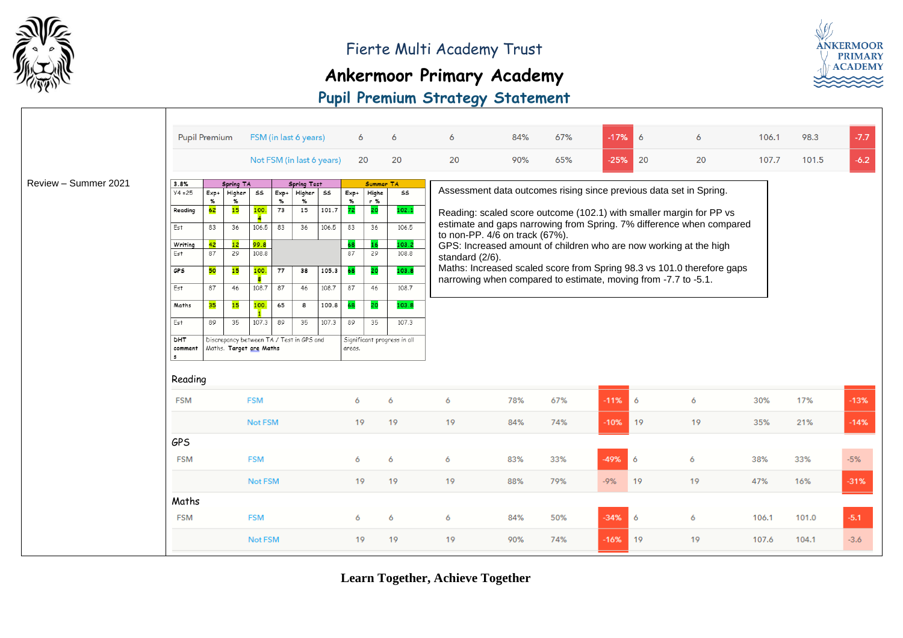

# **Ankermoor Primary Academy**



#### **Pupil Premium Strategy Statement**

|                      |                       | <b>Pupil Premium</b>                                  |                                                                     |            |                | FSM (in last 6 years)     |       | 6              |              | 6                           | 6  | 84%                                                                                                                                                                                                                                                                                                                                             | 67% | $-17%$    | 6              | 6                                                                  | 106.1 | 98.3  | $-7.7$ |
|----------------------|-----------------------|-------------------------------------------------------|---------------------------------------------------------------------|------------|----------------|---------------------------|-------|----------------|--------------|-----------------------------|----|-------------------------------------------------------------------------------------------------------------------------------------------------------------------------------------------------------------------------------------------------------------------------------------------------------------------------------------------------|-----|-----------|----------------|--------------------------------------------------------------------|-------|-------|--------|
|                      |                       |                                                       |                                                                     |            |                | Not FSM (in last 6 years) |       |                | 20           | 20                          | 20 | 90%                                                                                                                                                                                                                                                                                                                                             | 65% | $-25%$ 20 |                | 20                                                                 | 107.7 | 101.5 | $-6.2$ |
| Review - Summer 2021 | 3.8%                  | Spring TA<br>Spring Test<br>$Y4 = 25$<br>$Exp+$<br>55 |                                                                     |            |                |                           |       |                | Summer TA    |                             |    |                                                                                                                                                                                                                                                                                                                                                 |     |           |                | Assessment data outcomes rising since previous data set in Spring. |       |       |        |
|                      |                       | $\%$                                                  | Higher<br>$\%$                                                      |            | $Exp+$<br>$\%$ | Higher SS<br>$\%$         |       | $Exp+$<br>$\%$ | Highe<br>r % | 55                          |    |                                                                                                                                                                                                                                                                                                                                                 |     |           |                |                                                                    |       |       |        |
|                      | Reading               | 62                                                    | 15                                                                  | 100.       | 73             | 15                        | 101.7 | 72             | 20           | 102.1                       |    | Reading: scaled score outcome (102.1) with smaller margin for PP vs<br>estimate and gaps narrowing from Spring. 7% difference when compared<br>to non-PP. 4/6 on track (67%).<br>GPS: Increased amount of children who are now working at the high<br>standard (2/6).<br>Maths: Increased scaled score from Spring 98.3 vs 101.0 therefore gaps |     |           |                |                                                                    |       |       |        |
|                      | Est                   | 83                                                    | 36                                                                  | 106.5      | 83             | 36                        | 106.5 | 83             | 36           | 106.5                       |    |                                                                                                                                                                                                                                                                                                                                                 |     |           |                |                                                                    |       |       |        |
|                      | Writing               | 42                                                    | 12                                                                  | 99.8       |                |                           |       | 68             | 16           | 103.2                       |    |                                                                                                                                                                                                                                                                                                                                                 |     |           |                |                                                                    |       |       |        |
|                      | Est                   | 87                                                    | 29                                                                  | 108.8      |                |                           |       | 87             | 29           | 108.8                       |    |                                                                                                                                                                                                                                                                                                                                                 |     |           |                |                                                                    |       |       |        |
|                      | GPS                   | 50                                                    | 15                                                                  | 100.       | 77             | 38                        | 105.3 | 68             | 20           | 103.8                       |    | narrowing when compared to estimate, moving from -7.7 to -5.1.                                                                                                                                                                                                                                                                                  |     |           |                |                                                                    |       |       |        |
|                      | Est                   | 87                                                    | 46                                                                  | 108.7      | 87             | 46                        | 108.7 | 87             | 46           | 108.7                       |    |                                                                                                                                                                                                                                                                                                                                                 |     |           |                |                                                                    |       |       |        |
|                      | Maths                 | 35                                                    | 15                                                                  | 100.       | 65             | 8                         | 100.8 | 68             | 20           | 103.8                       |    |                                                                                                                                                                                                                                                                                                                                                 |     |           |                |                                                                    |       |       |        |
|                      | Est                   | 89                                                    | 35                                                                  | 107.3      | 89             | 35                        | 107.3 | 89             | 35           | 107.3                       |    |                                                                                                                                                                                                                                                                                                                                                 |     |           |                |                                                                    |       |       |        |
|                      | DHT<br>comment<br>l s |                                                       | Discrepancy between TA / Test in GPS and<br>Maths. Target are Maths |            |                |                           |       | areas.         |              | Significant progress in all |    |                                                                                                                                                                                                                                                                                                                                                 |     |           |                |                                                                    |       |       |        |
|                      | Reading               |                                                       |                                                                     |            |                |                           |       |                |              |                             |    |                                                                                                                                                                                                                                                                                                                                                 |     |           |                |                                                                    |       |       |        |
|                      | <b>FSM</b>            |                                                       |                                                                     | <b>FSM</b> |                |                           |       | 6              |              | 6                           | 6  | 78%                                                                                                                                                                                                                                                                                                                                             | 67% | $-11%$    | $\overline{6}$ | 6                                                                  | 30%   | 17%   | $-13%$ |
|                      |                       |                                                       |                                                                     | Not FSM    |                |                           |       | 19             |              | 19                          | 19 | 84%                                                                                                                                                                                                                                                                                                                                             | 74% | $-10%$    | 19             | 19                                                                 | 35%   | 21%   | $-14%$ |
|                      | <b>GPS</b>            |                                                       |                                                                     |            |                |                           |       |                |              |                             |    |                                                                                                                                                                                                                                                                                                                                                 |     |           |                |                                                                    |       |       |        |
|                      | <b>FSM</b>            |                                                       |                                                                     | <b>FSM</b> |                |                           |       | 6              |              | 6                           | 6  | 83%                                                                                                                                                                                                                                                                                                                                             | 33% | $-49%$    | $\overline{6}$ | 6                                                                  | 38%   | 33%   | $-5%$  |
|                      |                       |                                                       |                                                                     | Not FSM    |                |                           |       | 19             |              | 19                          | 19 | 88%                                                                                                                                                                                                                                                                                                                                             | 79% | $-9%$     | 19             | 19                                                                 | 47%   | 16%   | $-31%$ |
|                      | Maths                 |                                                       |                                                                     |            |                |                           |       |                |              |                             |    |                                                                                                                                                                                                                                                                                                                                                 |     |           |                |                                                                    |       |       |        |
|                      | <b>FSM</b>            |                                                       |                                                                     | <b>FSM</b> |                |                           |       | 6              |              | 6                           | 6  | 84%                                                                                                                                                                                                                                                                                                                                             | 50% | $-34%$    | $\overline{6}$ | 6                                                                  | 106.1 | 101.0 | $-5.1$ |
|                      |                       |                                                       |                                                                     | Not FSM    |                |                           |       | 19             |              | 19                          | 19 | 90%                                                                                                                                                                                                                                                                                                                                             | 74% | $-16%$    | 19             | 19                                                                 | 107.6 | 104.1 | $-3.6$ |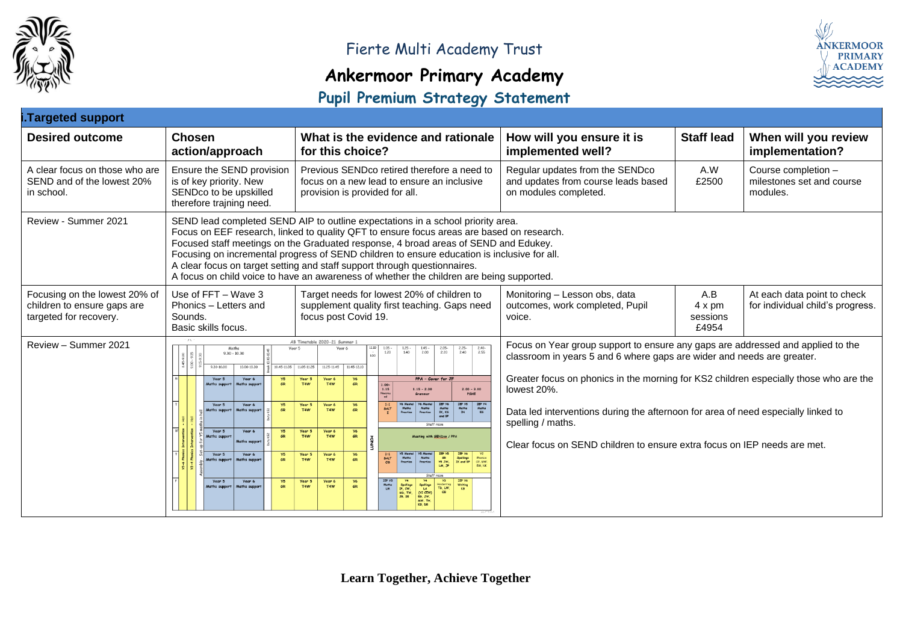

# **Ankermoor Primary Academy**

## **Pupil Premium Strategy Statement**



| <b>i.Targeted support</b>                                                              |                                                                                                            |                                                                                                                                                                                                                                                                                                                                                                                                                                                                                                                                             |                                                                                                                                                           |                                    |                                                                 |  |  |  |  |  |  |  |
|----------------------------------------------------------------------------------------|------------------------------------------------------------------------------------------------------------|---------------------------------------------------------------------------------------------------------------------------------------------------------------------------------------------------------------------------------------------------------------------------------------------------------------------------------------------------------------------------------------------------------------------------------------------------------------------------------------------------------------------------------------------|-----------------------------------------------------------------------------------------------------------------------------------------------------------|------------------------------------|-----------------------------------------------------------------|--|--|--|--|--|--|--|
| <b>Desired outcome</b>                                                                 | <b>Chosen</b><br>action/approach                                                                           | What is the evidence and rationale<br>for this choice?                                                                                                                                                                                                                                                                                                                                                                                                                                                                                      | How will you ensure it is<br>implemented well?                                                                                                            | <b>Staff lead</b>                  | When will you review<br>implementation?                         |  |  |  |  |  |  |  |
| A clear focus on those who are<br>SEND and of the lowest 20%<br>in school.             | Ensure the SEND provision<br>is of key priority. New<br>SENDco to be upskilled<br>therefore training need. | Previous SENDco retired therefore a need to<br>focus on a new lead to ensure an inclusive<br>provision is provided for all.                                                                                                                                                                                                                                                                                                                                                                                                                 | Regular updates from the SENDco<br>and updates from course leads based<br>on modules completed.                                                           | A.W<br>£2500                       | Course completion -<br>milestones set and course<br>modules.    |  |  |  |  |  |  |  |
| Review - Summer 2021                                                                   |                                                                                                            | SEND lead completed SEND AIP to outline expectations in a school priority area.<br>Focus on EEF research, linked to quality QFT to ensure focus areas are based on research.<br>Focused staff meetings on the Graduated response, 4 broad areas of SEND and Edukey.<br>Focusing on incremental progress of SEND children to ensure education is inclusive for all.<br>A clear focus on target setting and staff support through questionnaires.<br>A focus on child voice to have an awareness of whether the children are being supported. |                                                                                                                                                           |                                    |                                                                 |  |  |  |  |  |  |  |
| Focusing on the lowest 20% of<br>children to ensure gaps are<br>targeted for recovery. | Use of FFT - Wave 3<br>Phonics - Letters and<br>Sounds.<br>Basic skills focus.                             | Target needs for lowest 20% of children to<br>supplement quality first teaching. Gaps need<br>focus post Covid 19.                                                                                                                                                                                                                                                                                                                                                                                                                          | Monitoring - Lesson obs, data<br>outcomes, work completed, Pupil<br>voice.                                                                                | A.B<br>4 x pm<br>sessions<br>£4954 | At each data point to check<br>for individual child's progress. |  |  |  |  |  |  |  |
| Review - Summer 2021                                                                   | Maths<br>$9.30 - 10.30$<br>$9.30 - 10.00$<br>10.00-10.30                                                   | AB Timetable 2020-21 Summer 1<br>$2.40 - 2.55$<br>Year 5<br>Year 6<br>$1.05 - 1.20$<br>$1.25 - 1.40$<br>$2.25 - 2.40$<br>$1.45 - 2.00$<br>$2.05 - 2.20$<br>$\frac{1}{100}$<br>10.45-11.05 11.05-11.25<br>11.25-11.45 11.45-12.10                                                                                                                                                                                                                                                                                                            | Focus on Year group support to ensure any gaps are addressed and applied to the<br>classroom in years 5 and 6 where gaps are wider and needs are greater. |                                    |                                                                 |  |  |  |  |  |  |  |
|                                                                                        | Year 5<br>Year 6<br>GR<br>aths suppo                                                                       | PPA - Cover for JF<br>Year 5<br>Year 6<br><b>Y6</b><br>GR<br>T4W<br>T <sub>4</sub> W<br>$\begin{array}{c} \textbf{1.00-} \\ \textbf{1.15} \end{array}$<br>$1.15 - 2.00$<br>$2.00 - 3.00$<br>Grammat<br><b>PSHE</b>                                                                                                                                                                                                                                                                                                                          | Greater focus on phonics in the morning for KS2 children especially those who are the<br>lowest 20%.                                                      |                                    |                                                                 |  |  |  |  |  |  |  |
|                                                                                        | Year 5<br>Year 6<br>Y5<br><b>GR</b><br>aths suppo                                                          | IBP Y4<br>Maths<br>ES<br>$\begin{array}{c} \text{IPP Y5} \\ \text{Maths} \\ \text{IN} \end{array}$<br>$\frac{1:1}{\text{SALT}}$<br><b>IEP Y6</b><br>Maths<br>IX, KS<br>and BP<br>Year 5<br>Year 6<br>$\frac{96}{6R}$<br><b>Y6 Mental</b><br>Maths<br>Practise<br>Maths<br>Practise<br>T4W<br>T <sub>4</sub> W<br>Staff room                                                                                                                                                                                                                 | Data led interventions during the afternoon for area of need especially linked to<br>spelling / maths.                                                    |                                    |                                                                 |  |  |  |  |  |  |  |
|                                                                                        | Year 5<br>Year 6<br>Y5<br><b>GR</b><br>Maths suppor<br>Year 5<br>Year 6<br>Y5                              | Year 5<br>Year 6<br>$\frac{96}{6R}$<br>T <sub>4</sub> W<br>T4W<br>SENDco / PP/<br>Year 5<br>Year 6                                                                                                                                                                                                                                                                                                                                                                                                                                          | Clear focus on SEND children to ensure extra focus on IEP needs are met.                                                                                  |                                    |                                                                 |  |  |  |  |  |  |  |
|                                                                                        | <b>GR</b><br>ths suppe                                                                                     | <b>Y6</b><br>Phonics<br>OP, MW,<br>SALT<br>OB<br>Maths<br>Practise<br>Maths<br>Practise<br>$\frac{GR}{VB}$ JW.<br>LM, $\overline{JP}$<br>Spellings<br>IX and BP<br>T <sub>4</sub> W<br>T <sub>4</sub> W<br>GR                                                                                                                                                                                                                                                                                                                               |                                                                                                                                                           |                                    |                                                                 |  |  |  |  |  |  |  |
|                                                                                        | Year 5<br>Year 6<br>Y5<br>GR<br>aths suppo                                                                 | IBP Y6<br>Writing<br>K5<br>Year 6<br>$\frac{96}{6R}$<br>IEP Y5<br>Meths<br>LM<br>Year 5<br>$\begin{array}{c}\n  \  \, \text{y4} \\  \text{Spellings} \\  \text{DP. CW.} \\  \text{MD. TW.} \\  \text{JB. IE}\n \end{array}$<br>$\begin{array}{c}\n\text{Spelling} \\ \downarrow \text{A} \\ \text{(Y2 CEW)} \\ \text{ES, JW.}\n\end{array}$<br>Handwriting<br>TD, LW,<br>OB<br>T <sub>4</sub> W<br>T4W<br>MW, TH,<br>KG. DR                                                                                                                 |                                                                                                                                                           |                                    |                                                                 |  |  |  |  |  |  |  |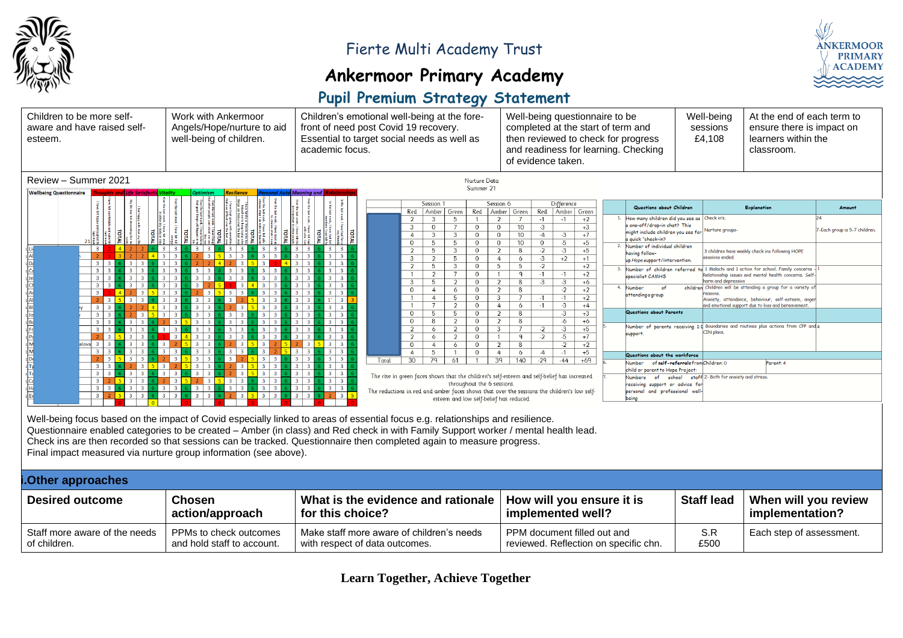

<u> 김국의 일부 지역 국민의 위원 부부 지원 기원 원 일 각 원</u>

#### Fierte Multi Academy Trust

**ANKERMOOR PRIMARY ACADEMY** 

#### **Ankermoor Primary Academy**

#### **Pupil Premium Strategy Statement**



Well-being focus based on the impact of Covid especially linked to areas of essential focus e.g. relationships and resilience. Questionnaire enabled categories to be created – Amber (in class) and Red check in with Family Support worker / mental health lead. Check ins are then recorded so that sessions can be tracked. Questionnaire then completed again to measure progress. Final impact measured via nurture group information (see above).

| <b>i.Other approaches</b>                     |                                                      |                                                                             |                                                                      |                   |                                         |  |  |  |  |  |  |  |
|-----------------------------------------------|------------------------------------------------------|-----------------------------------------------------------------------------|----------------------------------------------------------------------|-------------------|-----------------------------------------|--|--|--|--|--|--|--|
| <b>Desired outcome</b>                        | <b>Chosen</b><br>action/approach                     | What is the evidence and rationale  <br>for this choice?                    | $\mathsf I$ How will you ensure it is<br>implemented well?           | <b>Staff lead</b> | When will you review<br>implementation? |  |  |  |  |  |  |  |
| Staff more aware of the needs<br>of children. | PPMs to check outcomes<br>and hold staff to account. | Make staff more aware of children's needs<br>with respect of data outcomes. | PPM document filled out and<br>reviewed. Reflection on specific chn. | S.R<br>£500       | Each step of assessment.                |  |  |  |  |  |  |  |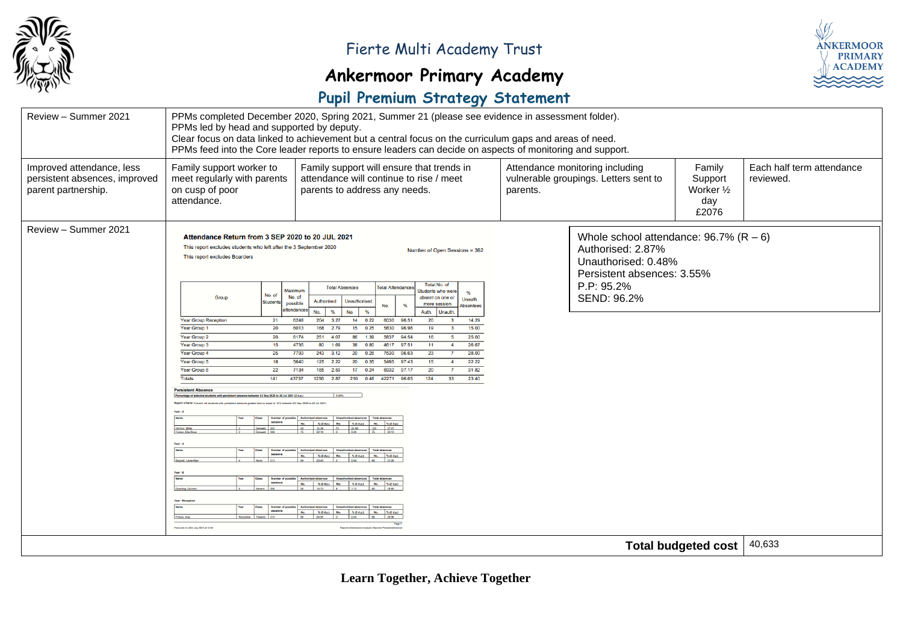

# **Ankermoor Primary Academy**



# **Pupil Premium Strategy Statement**

| Review - Summer 2021                                                              | PPMs completed December 2020, Spring 2021, Summer 21 (please see evidence in assessment folder).<br>PPMs led by head and supported by deputy.<br>Clear focus on data linked to achievement but a central focus on the curriculum gaps and areas of need.<br>PPMs feed into the Core leader reports to ensure leaders can decide on aspects of monitoring and support.                                                                                                                                                                                                                                                                                                                                                                                                                                                                                                                                                             |                                                                                                                                                                                                                                                                                                                                                                                                                                                                                                                                                                                                                                                                                                                                                                                                                                                                                                                                                                                                                                                                                                                                                                                                                                                                                                                                                                                                                                                                                                                                      |                                                                                                                                                  |                                                 |                                        |  |  |  |  |  |  |  |
|-----------------------------------------------------------------------------------|-----------------------------------------------------------------------------------------------------------------------------------------------------------------------------------------------------------------------------------------------------------------------------------------------------------------------------------------------------------------------------------------------------------------------------------------------------------------------------------------------------------------------------------------------------------------------------------------------------------------------------------------------------------------------------------------------------------------------------------------------------------------------------------------------------------------------------------------------------------------------------------------------------------------------------------|--------------------------------------------------------------------------------------------------------------------------------------------------------------------------------------------------------------------------------------------------------------------------------------------------------------------------------------------------------------------------------------------------------------------------------------------------------------------------------------------------------------------------------------------------------------------------------------------------------------------------------------------------------------------------------------------------------------------------------------------------------------------------------------------------------------------------------------------------------------------------------------------------------------------------------------------------------------------------------------------------------------------------------------------------------------------------------------------------------------------------------------------------------------------------------------------------------------------------------------------------------------------------------------------------------------------------------------------------------------------------------------------------------------------------------------------------------------------------------------------------------------------------------------|--------------------------------------------------------------------------------------------------------------------------------------------------|-------------------------------------------------|----------------------------------------|--|--|--|--|--|--|--|
| Improved attendance, less<br>persistent absences, improved<br>parent partnership. | Family support worker to<br>meet regularly with parents<br>on cusp of poor<br>attendance.                                                                                                                                                                                                                                                                                                                                                                                                                                                                                                                                                                                                                                                                                                                                                                                                                                         | Family support will ensure that trends in<br>attendance will continue to rise / meet<br>parents to address any needs.                                                                                                                                                                                                                                                                                                                                                                                                                                                                                                                                                                                                                                                                                                                                                                                                                                                                                                                                                                                                                                                                                                                                                                                                                                                                                                                                                                                                                | Attendance monitoring including<br>vulnerable groupings. Letters sent to<br>parents.                                                             | Family<br>Support<br>Worker 1/2<br>day<br>£2076 | Each half term attendance<br>reviewed. |  |  |  |  |  |  |  |
| Review - Summer 2021                                                              | Attendance Return from 3 SEP 2020 to 20 JUL 2021<br>This report excludes students who left after the 3 September 2020<br>This report excludes Boarders<br>Maximum<br>No. of<br>Group<br><b>Students</b><br>possible<br><b>Year Group Reception</b><br>21<br>Year Group 1<br>20<br>Year Group 2<br>20<br>Year Group 3<br>15<br>Year Group 4<br>25<br>Year Group 5<br>18<br>Year Group 6<br>22<br>Totals<br>141<br><b>Persistent Absence</b><br>Percentage of selected students with persistent absence between 03 Sep 2020 to 20 Jul 2021 (2 d.p.<br>Report criteria: Current roll students with persistent absence greater than or equal to 10% between 03 Sep 2020 to 20 Jul 2021<br>Year:<br>Name<br>umber of possible<br>Hornor, Mille<br>Ferlon, Ella-Ro<br>Year: 4<br>Name<br>Bagnal, Layla-Ma<br>Year: 6<br>Name<br>Downing, Quint<br><b>Year: Reception</b><br>Name<br>Ferrion, Ava<br>Produced on 23rd July 2021 at 12:56 | Number of Open Sessions = 382<br>Total No. of<br><b>Total Absences</b><br><b>Total Attendances</b><br><b>Students who were</b><br>%<br>No. of<br>absent on one or<br>Unauth.<br><b>Unauthorised</b><br><b>Authorised</b><br>more session<br>No.<br>Absenteer<br>attendance<br>No.<br>%<br>No.<br>96<br>Auth.<br>Unauth.<br>6248<br>204<br>3.27<br>20<br>14.29<br>14<br>0.22<br>6030<br>96.51<br>$\overline{\mathbf{3}}$<br>15.00<br>6013<br>168<br>2.79<br>15 <sub>15</sub><br>5830<br>96.96<br>0.25<br>19<br>$\mathbf{3}$<br>6174<br>251 4.07<br>25.00<br>86<br>1.39<br>5837<br>94.54<br>16<br>5<br>4735<br>26.67<br>80<br>1.69<br>38<br>0.80<br>4617<br>97.51<br>11<br>$\boldsymbol{4}$<br>28.00<br>7793<br>243 3.12<br>96.63<br>20 0.26<br>7530<br>23<br>22.22<br>5640<br>125 2.22<br>97.43<br>15<br>$\boldsymbol{A}$<br>20<br>0.35<br>5495<br>31.82<br>7134<br>185 2.59<br>17<br>0.24<br>6932<br>97.17<br>20<br>23,40<br>1256 2.87<br>210 0.48 42271 96.65<br>124<br>43737<br>33<br>3.55%<br>Authorised absences Unauthorised absences Total absences<br>%(2 d.p.) No.   %(2 d.p.) No.   % (2 d.p.)<br>14.29<br>22.98<br>Unauthorised absences<br>Total abou<br>No. % (2 d.p.) No. % (2 d.p.) No. % (2 d.p.)<br>20.45<br>Authorised absences Unauthorised absences Total absences<br>No.   % (2 d.p.) No.   % (2 d.p.) No.   % (2 d.p.)<br>Authorised absences   Unauthorised absences<br>No.   % (2 d.p.) No.   % (2 d.p.) No.   % (2 d.p.)<br>86 26.96<br>0.00<br>86 26.96<br>Page 1<br>Renorts>Mendango Analysis Renorts>Pers | Whole school attendance: $96.7\%$ (R - 6)<br>Authorised: 2.87%<br>Unauthorised: 0.48%<br>Persistent absences: 3.55%<br>P.P: 95.2%<br>SEND: 96.2% |                                                 |                                        |  |  |  |  |  |  |  |
|                                                                                   |                                                                                                                                                                                                                                                                                                                                                                                                                                                                                                                                                                                                                                                                                                                                                                                                                                                                                                                                   |                                                                                                                                                                                                                                                                                                                                                                                                                                                                                                                                                                                                                                                                                                                                                                                                                                                                                                                                                                                                                                                                                                                                                                                                                                                                                                                                                                                                                                                                                                                                      |                                                                                                                                                  | <b>Total budgeted cost</b>                      | 40,633                                 |  |  |  |  |  |  |  |